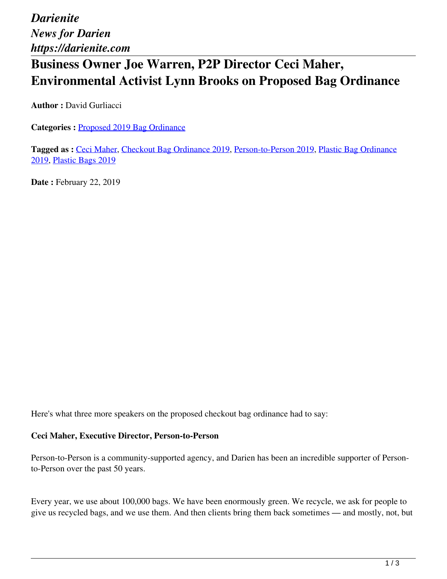*Darienite News for Darien https://darienite.com*

# **Business Owner Joe Warren, P2P Director Ceci Maher, Environmental Activist Lynn Brooks on Proposed Bag Ordinance**

**Author :** David Gurliacci

**Categories :** [Proposed 2019 Bag Ordinance](https://darienite.com/category/news/government-politics/proposed-2019-bag-ordinance)

**Tagged as :** Ceci Maher, Checkout Bag Ordinance 2019, Person-to-Person 2019, Plastic Bag Ordinance 2019, Plastic Bags 2019

**Date :** February 22, 2019

Here's what three more speakers on the proposed checkout bag ordinance had to say:

### **Ceci Maher, Executive Director, Person-to-Person**

Person-to-Person is a community-supported agency, and Darien has been an incredible supporter of Personto-Person over the past 50 years.

Every year, we use about 100,000 bags. We have been enormously green. We recycle, we ask for people to give us recycled bags, and we use them. And then clients bring them back sometimes — and mostly, not, but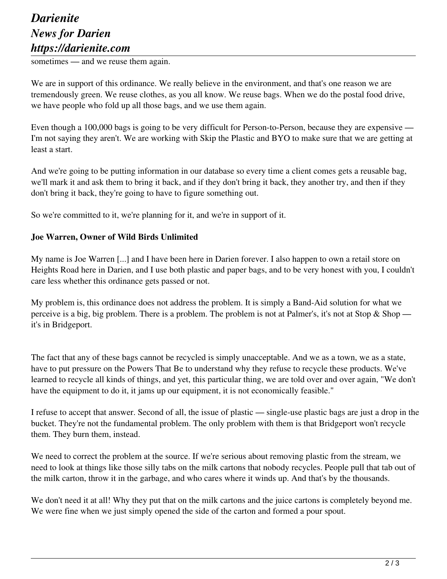## *Darienite News for Darien https://darienite.com*

sometimes — and we reuse them again.

We are in support of this ordinance. We really believe in the environment, and that's one reason we are tremendously green. We reuse clothes, as you all know. We reuse bags. When we do the postal food drive, we have people who fold up all those bags, and we use them again.

Even though a 100,000 bags is going to be very difficult for Person-to-Person, because they are expensive — I'm not saying they aren't. We are working with Skip the Plastic and BYO to make sure that we are getting at least a start.

And we're going to be putting information in our database so every time a client comes gets a reusable bag, we'll mark it and ask them to bring it back, and if they don't bring it back, they another try, and then if they don't bring it back, they're going to have to figure something out.

So we're committed to it, we're planning for it, and we're in support of it.

#### **Joe Warren, Owner of Wild Birds Unlimited**

My name is Joe Warren [...] and I have been here in Darien forever. I also happen to own a retail store on Heights Road here in Darien, and I use both plastic and paper bags, and to be very honest with you, I couldn't care less whether this ordinance gets passed or not.

My problem is, this ordinance does not address the problem. It is simply a Band-Aid solution for what we perceive is a big, big problem. There is a problem. The problem is not at Palmer's, it's not at Stop & Shop it's in Bridgeport.

The fact that any of these bags cannot be recycled is simply unacceptable. And we as a town, we as a state, have to put pressure on the Powers That Be to understand why they refuse to recycle these products. We've learned to recycle all kinds of things, and yet, this particular thing, we are told over and over again, "We don't have the equipment to do it, it jams up our equipment, it is not economically feasible."

I refuse to accept that answer. Second of all, the issue of plastic — single-use plastic bags are just a drop in the bucket. They're not the fundamental problem. The only problem with them is that Bridgeport won't recycle them. They burn them, instead.

We need to correct the problem at the source. If we're serious about removing plastic from the stream, we need to look at things like those silly tabs on the milk cartons that nobody recycles. People pull that tab out of the milk carton, throw it in the garbage, and who cares where it winds up. And that's by the thousands.

We don't need it at all! Why they put that on the milk cartons and the juice cartons is completely beyond me. We were fine when we just simply opened the side of the carton and formed a pour spout.